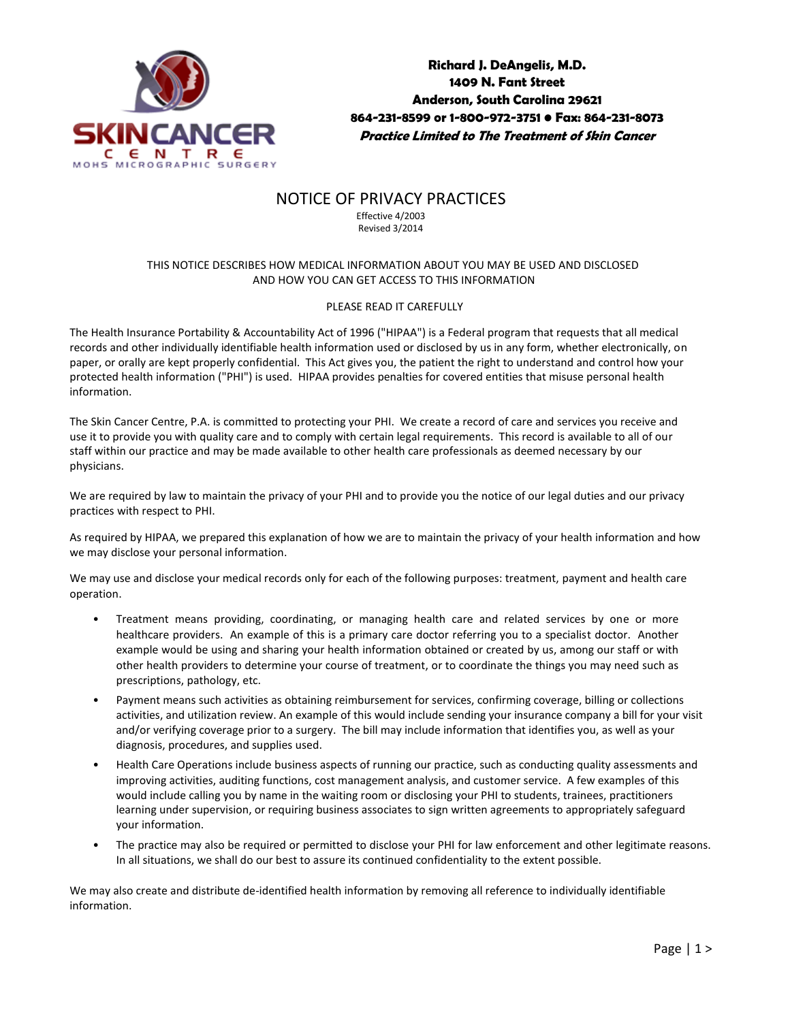

**Richard J. DeAngelis, M.D. 1409 N. Fant Street Anderson, South Carolina 29621 864-231-8599 or 1-800-972-3751 • Fax: 864-231-8073 Practice Limited to The Treatment of Skin Cancer**

## NOTICE OF PRIVACY PRACTICES

Effective 4/2003 Revised 3/2014

## THIS NOTICE DESCRIBES HOW MEDICAL INFORMATION ABOUT YOU MAY BE USED AND DISCLOSED AND HOW YOU CAN GET ACCESS TO THIS INFORMATION

## PLEASE READ IT CAREFULLY

The Health Insurance Portability & Accountability Act of 1996 ("HIPAA") is a Federal program that requests that all medical records and other individually identifiable health information used or disclosed by us in any form, whether electronically, on paper, or orally are kept properly confidential. This Act gives you, the patient the right to understand and control how your protected health information ("PHI") is used. HIPAA provides penalties for covered entities that misuse personal health information.

The Skin Cancer Centre, P.A. is committed to protecting your PHI. We create a record of care and services you receive and use it to provide you with quality care and to comply with certain legal requirements. This record is available to all of our staff within our practice and may be made available to other health care professionals as deemed necessary by our physicians.

We are required by law to maintain the privacy of your PHI and to provide you the notice of our legal duties and our privacy practices with respect to PHI.

As required by HIPAA, we prepared this explanation of how we are to maintain the privacy of your health information and how we may disclose your personal information.

We may use and disclose your medical records only for each of the following purposes: treatment, payment and health care operation.

- Treatment means providing, coordinating, or managing health care and related services by one or more healthcare providers. An example of this is a primary care doctor referring you to a specialist doctor. Another example would be using and sharing your health information obtained or created by us, among our staff or with other health providers to determine your course of treatment, or to coordinate the things you may need such as prescriptions, pathology, etc.
- Payment means such activities as obtaining reimbursement for services, confirming coverage, billing or collections activities, and utilization review. An example of this would include sending your insurance company a bill for your visit and/or verifying coverage prior to a surgery. The bill may include information that identifies you, as well as your diagnosis, procedures, and supplies used.
- Health Care Operations include business aspects of running our practice, such as conducting quality assessments and improving activities, auditing functions, cost management analysis, and customer service. A few examples of this would include calling you by name in the waiting room or disclosing your PHI to students, trainees, practitioners learning under supervision, or requiring business associates to sign written agreements to appropriately safeguard your information.
- The practice may also be required or permitted to disclose your PHI for law enforcement and other legitimate reasons. In all situations, we shall do our best to assure its continued confidentiality to the extent possible.

We may also create and distribute de-identified health information by removing all reference to individually identifiable information.